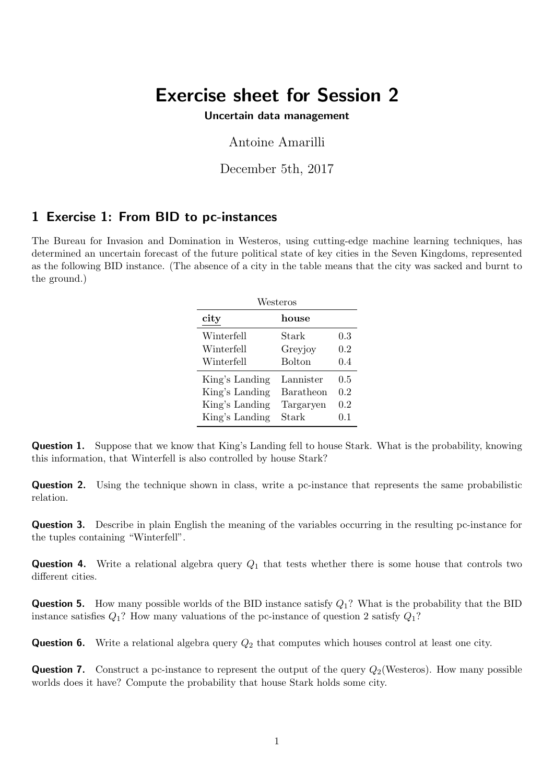# Exercise sheet for Session 2

#### Uncertain data management

### Antoine Amarilli

December 5th, 2017

## 1 Exercise 1: From BID to pc-instances

The Bureau for Invasion and Domination in Westeros, using cutting-edge machine learning techniques, has determined an uncertain forecast of the future political state of key cities in the Seven Kingdoms, represented as the following BID instance. (The absence of a city in the table means that the city was sacked and burnt to the ground.)

| Westeros       |               |         |  |  |
|----------------|---------------|---------|--|--|
| city           | house         |         |  |  |
| Winterfell     | Stark         | 0.3     |  |  |
| Winterfell     | Greyjoy       | $0.2\,$ |  |  |
| Winterfell     | <b>Bolton</b> | 0.4     |  |  |
| King's Landing | Lannister     | 0.5     |  |  |
| King's Landing | Baratheon     | 0.2     |  |  |
| King's Landing | Targaryen     | 0.2     |  |  |
| King's Landing | Stark         | 0.1     |  |  |

Question 1. Suppose that we know that King's Landing fell to house Stark. What is the probability, knowing this information, that Winterfell is also controlled by house Stark?

Question 2. Using the technique shown in class, write a pc-instance that represents the same probabilistic relation.

Question 3. Describe in plain English the meaning of the variables occurring in the resulting pc-instance for the tuples containing "Winterfell".

**Question 4.** Write a relational algebra query  $Q_1$  that tests whether there is some house that controls two different cities.

**Question 5.** How many possible worlds of the BID instance satisfy  $Q_1$ ? What is the probability that the BID instance satisfies  $Q_1$ ? How many valuations of the pc-instance of question 2 satisfy  $Q_1$ ?

**Question 6.** Write a relational algebra query  $Q_2$  that computes which houses control at least one city.

**Question 7.** Construct a pc-instance to represent the output of the query  $Q_2$  (Westeros). How many possible worlds does it have? Compute the probability that house Stark holds some city.